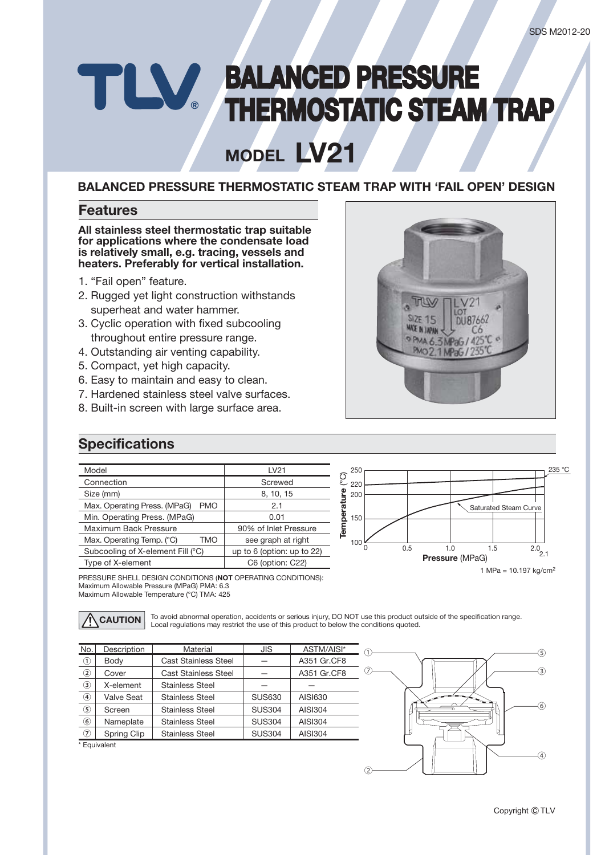# **BALANCED PRESSURE** TLV. **THERMOSTATIC STEAM TRAP**

# **LV21 MODEL**

### **BALANCED PRESSURE THERMOSTATIC STEAM TRAP WITH 'FAIL OPEN' DESIGN**

### **Features**

**All stainless steel thermostatic trap suitable for applications where the condensate load is relatively small, e.g. tracing, vessels and heaters. Preferably for vertical installation.**

- 1. "Fail open" feature.
- 2. Rugged yet light construction withstands superheat and water hammer.
- 3. Cyclic operation with fixed subcooling throughout entire pressure range.
- 4. Outstanding air venting capability.
- 5. Compact, yet high capacity.
- 6. Easy to maintain and easy to clean.
- 7. Hardened stainless steel valve surfaces.
- 8. Built-in screen with large surface area.



## **Specifications**

| Model                                      | LV21                            |  |
|--------------------------------------------|---------------------------------|--|
| Connection                                 | Screwed                         |  |
| Size (mm)                                  | 8, 10, 15                       |  |
| Max. Operating Press. (MPaG)<br><b>PMO</b> | 2.1                             |  |
| Min. Operating Press. (MPaG)               | 0.01                            |  |
| Maximum Back Pressure                      | 90% of Inlet Pressure           |  |
| Max. Operating Temp. (°C)<br>TMO           | see graph at right              |  |
| Subcooling of X-element Fill (°C)          | up to $6$ (option: up to $22$ ) |  |
| Type of X-element                          | C6 (option: C22)                |  |



PRESSURE SHELL DESIGN CONDITIONS (**NOT** OPERATING CONDITIONS): Maximum Allowable Pressure (MPaG) PMA: 6.3 Maximum Allowable Temperature (°C) TMA: 425

**CAUTION** To avoid abnormal operation, accidents or serious injury, DO NOT use this product outside of the specification range. Local regulations may restrict the use of this product to below the conditions quoted.

| No.               | Description       | Material                    | <b>JIS</b>    | ASTM/AISI*     |
|-------------------|-------------------|-----------------------------|---------------|----------------|
| $^{\circledR}$    | Body              | <b>Cast Stainless Steel</b> |               | A351 Gr.CF8    |
| ②                 | Cover             | <b>Cast Stainless Steel</b> |               | A351 Gr.CF8    |
| $\circled{3}$     | X-element         | <b>Stainless Steel</b>      |               |                |
| $\circledast$     | <b>Valve Seat</b> | <b>Stainless Steel</b>      | <b>SUS630</b> | AISI630        |
| (5)               | Screen            | <b>Stainless Steel</b>      | <b>SUS304</b> | AISI304        |
| $\circledast$     | Nameplate         | <b>Stainless Steel</b>      | <b>SUS304</b> | <b>AISI304</b> |
| $\left( 7\right)$ | Spring Clip       | <b>Stainless Steel</b>      | <b>SUS304</b> | <b>AISI304</b> |

\* Equivalent